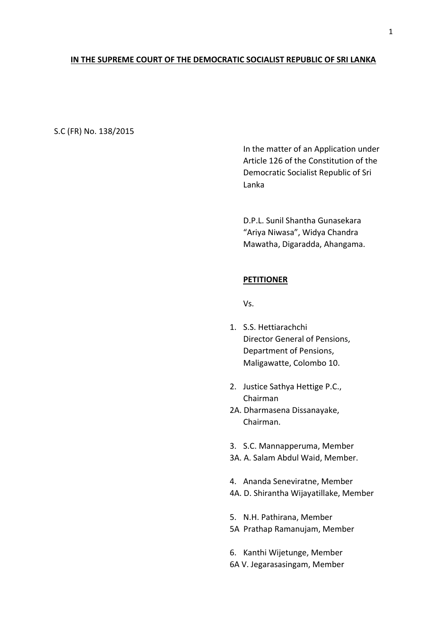## **IN THE SUPREME COURT OF THE DEMOCRATIC SOCIALIST REPUBLIC OF SRI LANKA**

### S.C (FR) No. 138/2015

In the matter of an Application under Article 126 of the Constitution of the Democratic Socialist Republic of Sri Lanka

D.P.L. Sunil Shantha Gunasekara "Ariya Niwasa", Widya Chandra Mawatha, Digaradda, Ahangama.

### **PETITIONER**

Vs.

- 1. S.S. Hettiarachchi Director General of Pensions, Department of Pensions, Maligawatte, Colombo 10.
- 2. Justice Sathya Hettige P.C., Chairman
- 2A. Dharmasena Dissanayake, Chairman.
- 3. S.C. Mannapperuma, Member
- 3A. A. Salam Abdul Waid, Member.
- 4. Ananda Seneviratne, Member 4A. D. Shirantha Wijayatillake, Member
- 5. N.H. Pathirana, Member
- 5A Prathap Ramanujam, Member
- 6. Kanthi Wijetunge, Member
- 6A V. Jegarasasingam, Member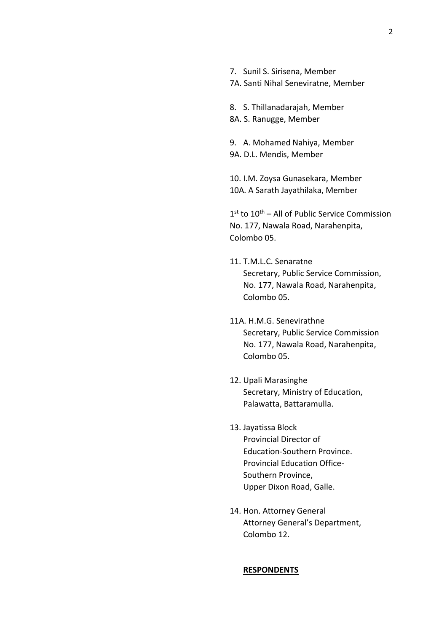7. Sunil S. Sirisena, Member

7A. Santi Nihal Seneviratne, Member

8. S. Thillanadarajah, Member 8A. S. Ranugge, Member

9. A. Mohamed Nahiya, Member 9A. D.L. Mendis, Member

10. I.M. Zoysa Gunasekara, Member 10A. A Sarath Jayathilaka, Member

1<sup>st</sup> to 10<sup>th</sup> – All of Public Service Commission No. 177, Nawala Road, Narahenpita, Colombo 05.

- 11. T.M.L.C. Senaratne Secretary, Public Service Commission, No. 177, Nawala Road, Narahenpita, Colombo 05.
- 11A. H.M.G. Senevirathne Secretary, Public Service Commission No. 177, Nawala Road, Narahenpita, Colombo 05.
- 12. Upali Marasinghe Secretary, Ministry of Education, Palawatta, Battaramulla.
- 13. Jayatissa Block Provincial Director of Education-Southern Province. Provincial Education Office-Southern Province, Upper Dixon Road, Galle.
- 14. Hon. Attorney General Attorney General's Department, Colombo 12.

#### **RESPONDENTS**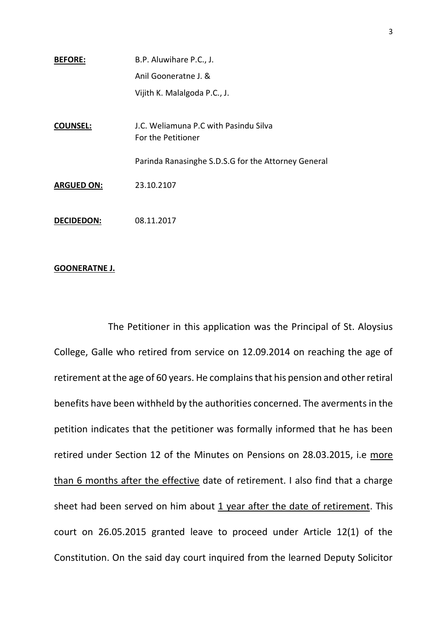| <b>BEFORE:</b>    | B.P. Aluwihare P.C., J.                                     |
|-------------------|-------------------------------------------------------------|
|                   | Anil Gooneratne J. &                                        |
|                   | Vijith K. Malalgoda P.C., J.                                |
|                   |                                                             |
| <b>COUNSEL:</b>   | J.C. Weliamuna P.C with Pasindu Silva<br>For the Petitioner |
|                   | Parinda Ranasinghe S.D.S.G for the Attorney General         |
| <b>ARGUED ON:</b> | 23.10.2107                                                  |
| <b>DECIDEDON:</b> | 08.11.2017                                                  |

# **GOONERATNE J.**

The Petitioner in this application was the Principal of St. Aloysius College, Galle who retired from service on 12.09.2014 on reaching the age of retirement at the age of 60 years. He complains that his pension and other retiral benefits have been withheld by the authorities concerned. The averments in the petition indicates that the petitioner was formally informed that he has been retired under Section 12 of the Minutes on Pensions on 28.03.2015, i.e more than 6 months after the effective date of retirement. I also find that a charge sheet had been served on him about 1 year after the date of retirement. This court on 26.05.2015 granted leave to proceed under Article 12(1) of the Constitution. On the said day court inquired from the learned Deputy Solicitor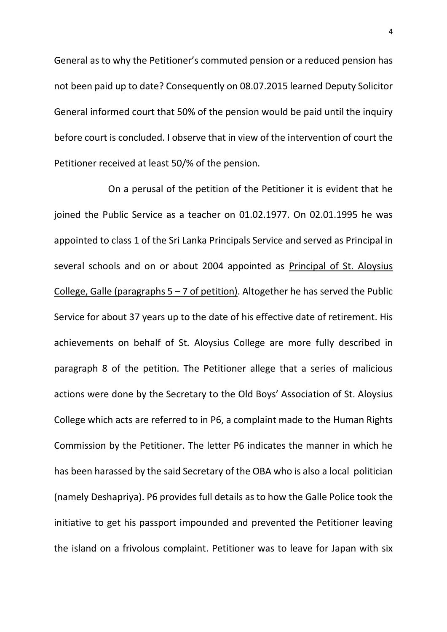General as to why the Petitioner's commuted pension or a reduced pension has not been paid up to date? Consequently on 08.07.2015 learned Deputy Solicitor General informed court that 50% of the pension would be paid until the inquiry before court is concluded. I observe that in view of the intervention of court the Petitioner received at least 50/% of the pension.

On a perusal of the petition of the Petitioner it is evident that he joined the Public Service as a teacher on 01.02.1977. On 02.01.1995 he was appointed to class 1 of the Sri Lanka Principals Service and served as Principal in several schools and on or about 2004 appointed as Principal of St. Aloysius College, Galle (paragraphs  $5 - 7$  of petition). Altogether he has served the Public Service for about 37 years up to the date of his effective date of retirement. His achievements on behalf of St. Aloysius College are more fully described in paragraph 8 of the petition. The Petitioner allege that a series of malicious actions were done by the Secretary to the Old Boys' Association of St. Aloysius College which acts are referred to in P6, a complaint made to the Human Rights Commission by the Petitioner. The letter P6 indicates the manner in which he has been harassed by the said Secretary of the OBA who is also a local politician (namely Deshapriya). P6 provides full details as to how the Galle Police took the initiative to get his passport impounded and prevented the Petitioner leaving the island on a frivolous complaint. Petitioner was to leave for Japan with six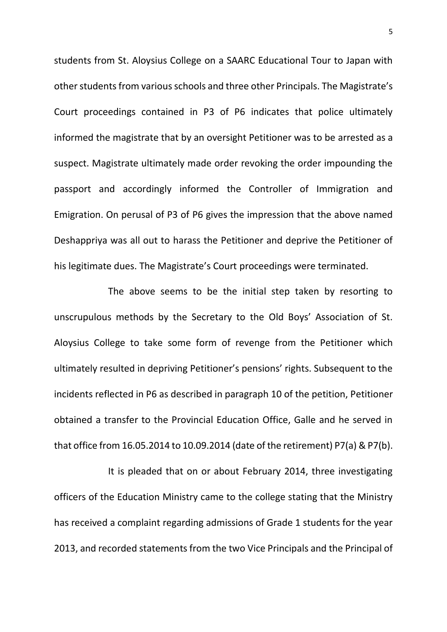students from St. Aloysius College on a SAARC Educational Tour to Japan with other students from various schools and three other Principals. The Magistrate's Court proceedings contained in P3 of P6 indicates that police ultimately informed the magistrate that by an oversight Petitioner was to be arrested as a suspect. Magistrate ultimately made order revoking the order impounding the passport and accordingly informed the Controller of Immigration and Emigration. On perusal of P3 of P6 gives the impression that the above named Deshappriya was all out to harass the Petitioner and deprive the Petitioner of his legitimate dues. The Magistrate's Court proceedings were terminated.

The above seems to be the initial step taken by resorting to unscrupulous methods by the Secretary to the Old Boys' Association of St. Aloysius College to take some form of revenge from the Petitioner which ultimately resulted in depriving Petitioner's pensions' rights. Subsequent to the incidents reflected in P6 as described in paragraph 10 of the petition, Petitioner obtained a transfer to the Provincial Education Office, Galle and he served in that office from 16.05.2014 to 10.09.2014 (date of the retirement) P7(a) & P7(b).

It is pleaded that on or about February 2014, three investigating officers of the Education Ministry came to the college stating that the Ministry has received a complaint regarding admissions of Grade 1 students for the year 2013, and recorded statements from the two Vice Principals and the Principal of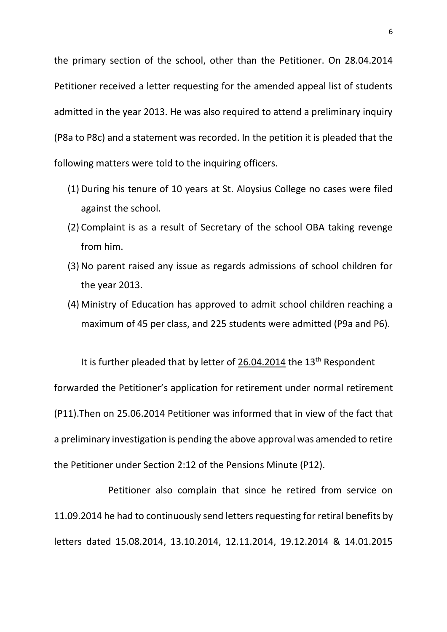the primary section of the school, other than the Petitioner. On 28.04.2014 Petitioner received a letter requesting for the amended appeal list of students admitted in the year 2013. He was also required to attend a preliminary inquiry (P8a to P8c) and a statement was recorded. In the petition it is pleaded that the following matters were told to the inquiring officers.

- (1) During his tenure of 10 years at St. Aloysius College no cases were filed against the school.
- (2) Complaint is as a result of Secretary of the school OBA taking revenge from him.
- (3) No parent raised any issue as regards admissions of school children for the year 2013.
- (4) Ministry of Education has approved to admit school children reaching a maximum of 45 per class, and 225 students were admitted (P9a and P6).

It is further pleaded that by letter of 26.04.2014 the  $13<sup>th</sup>$  Respondent forwarded the Petitioner's application for retirement under normal retirement (P11).Then on 25.06.2014 Petitioner was informed that in view of the fact that a preliminary investigation is pending the above approval was amended to retire the Petitioner under Section 2:12 of the Pensions Minute (P12).

Petitioner also complain that since he retired from service on 11.09.2014 he had to continuously send letters requesting for retiral benefits by letters dated 15.08.2014, 13.10.2014, 12.11.2014, 19.12.2014 & 14.01.2015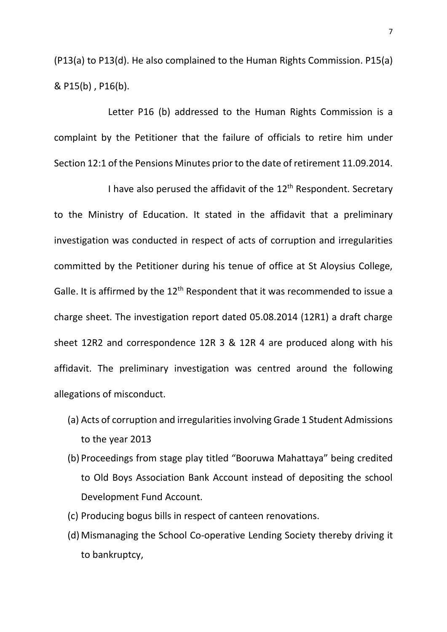(P13(a) to P13(d). He also complained to the Human Rights Commission. P15(a) & P15(b) , P16(b).

Letter P16 (b) addressed to the Human Rights Commission is a complaint by the Petitioner that the failure of officials to retire him under Section 12:1 of the Pensions Minutes prior to the date of retirement 11.09.2014.

I have also perused the affidavit of the  $12<sup>th</sup>$  Respondent. Secretary to the Ministry of Education. It stated in the affidavit that a preliminary investigation was conducted in respect of acts of corruption and irregularities committed by the Petitioner during his tenue of office at St Aloysius College, Galle. It is affirmed by the 12<sup>th</sup> Respondent that it was recommended to issue a charge sheet. The investigation report dated 05.08.2014 (12R1) a draft charge sheet 12R2 and correspondence 12R 3 & 12R 4 are produced along with his affidavit. The preliminary investigation was centred around the following allegations of misconduct.

- (a) Acts of corruption and irregularities involving Grade 1 Student Admissions to the year 2013
- (b) Proceedings from stage play titled "Booruwa Mahattaya" being credited to Old Boys Association Bank Account instead of depositing the school Development Fund Account.
- (c) Producing bogus bills in respect of canteen renovations.
- (d) Mismanaging the School Co-operative Lending Society thereby driving it to bankruptcy,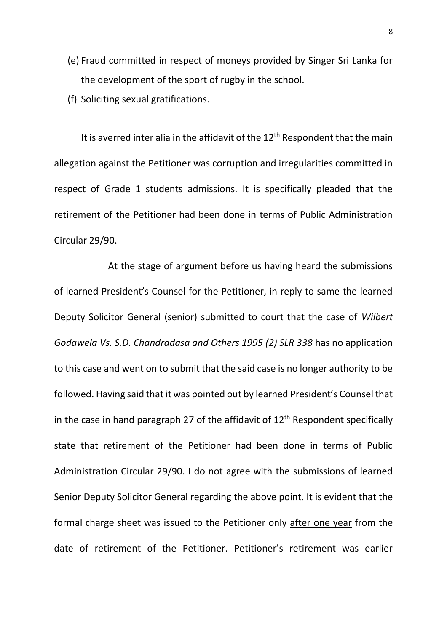- (e) Fraud committed in respect of moneys provided by Singer Sri Lanka for the development of the sport of rugby in the school.
- (f) Soliciting sexual gratifications.

It is averred inter alia in the affidavit of the  $12<sup>th</sup>$  Respondent that the main allegation against the Petitioner was corruption and irregularities committed in respect of Grade 1 students admissions. It is specifically pleaded that the retirement of the Petitioner had been done in terms of Public Administration Circular 29/90.

At the stage of argument before us having heard the submissions of learned President's Counsel for the Petitioner, in reply to same the learned Deputy Solicitor General (senior) submitted to court that the case of *Wilbert Godawela Vs. S.D. Chandradasa and Others 1995 (2) SLR 338* has no application to this case and went on to submit that the said case is no longer authority to be followed. Having said that it was pointed out by learned President's Counsel that in the case in hand paragraph 27 of the affidavit of  $12<sup>th</sup>$  Respondent specifically state that retirement of the Petitioner had been done in terms of Public Administration Circular 29/90. I do not agree with the submissions of learned Senior Deputy Solicitor General regarding the above point. It is evident that the formal charge sheet was issued to the Petitioner only after one year from the date of retirement of the Petitioner. Petitioner's retirement was earlier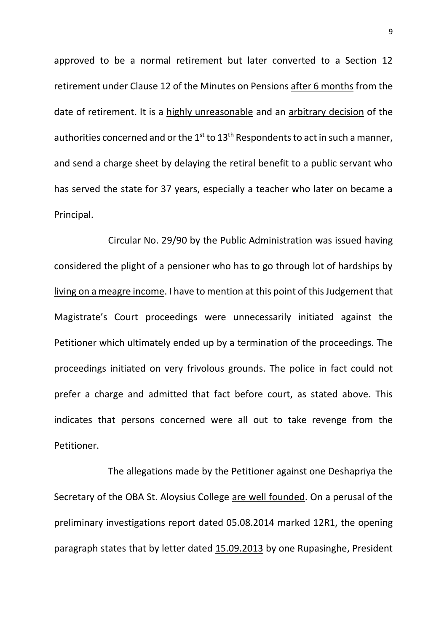approved to be a normal retirement but later converted to a Section 12 retirement under Clause 12 of the Minutes on Pensions after 6 months from the date of retirement. It is a highly unreasonable and an arbitrary decision of the authorities concerned and or the  $1<sup>st</sup>$  to  $13<sup>th</sup>$  Respondents to act in such a manner, and send a charge sheet by delaying the retiral benefit to a public servant who has served the state for 37 years, especially a teacher who later on became a Principal.

Circular No. 29/90 by the Public Administration was issued having considered the plight of a pensioner who has to go through lot of hardships by living on a meagre income. I have to mention at this point of this Judgement that Magistrate's Court proceedings were unnecessarily initiated against the Petitioner which ultimately ended up by a termination of the proceedings. The proceedings initiated on very frivolous grounds. The police in fact could not prefer a charge and admitted that fact before court, as stated above. This indicates that persons concerned were all out to take revenge from the Petitioner.

The allegations made by the Petitioner against one Deshapriya the Secretary of the OBA St. Aloysius College are well founded. On a perusal of the preliminary investigations report dated 05.08.2014 marked 12R1, the opening paragraph states that by letter dated 15.09.2013 by one Rupasinghe, President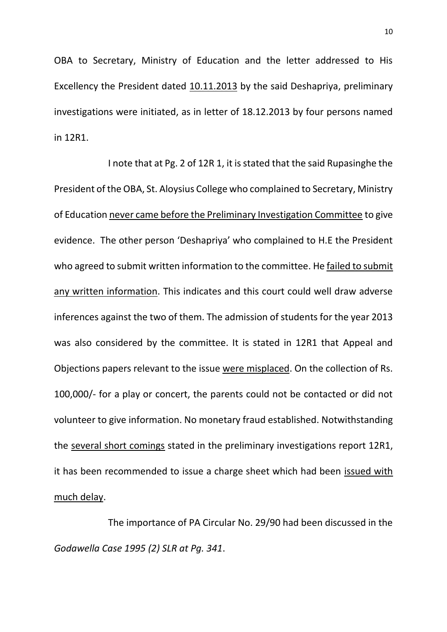OBA to Secretary, Ministry of Education and the letter addressed to His Excellency the President dated 10.11.2013 by the said Deshapriya, preliminary investigations were initiated, as in letter of 18.12.2013 by four persons named in 12R1.

I note that at Pg. 2 of 12R 1, it is stated that the said Rupasinghe the President of the OBA, St. Aloysius College who complained to Secretary, Ministry of Education never came before the Preliminary Investigation Committee to give evidence. The other person 'Deshapriya' who complained to H.E the President who agreed to submit written information to the committee. He failed to submit any written information. This indicates and this court could well draw adverse inferences against the two of them. The admission of students for the year 2013 was also considered by the committee. It is stated in 12R1 that Appeal and Objections papers relevant to the issue were misplaced. On the collection of Rs. 100,000/- for a play or concert, the parents could not be contacted or did not volunteer to give information. No monetary fraud established. Notwithstanding the several short comings stated in the preliminary investigations report 12R1, it has been recommended to issue a charge sheet which had been issued with much delay.

The importance of PA Circular No. 29/90 had been discussed in the *Godawella Case 1995 (2) SLR at Pg. 341*.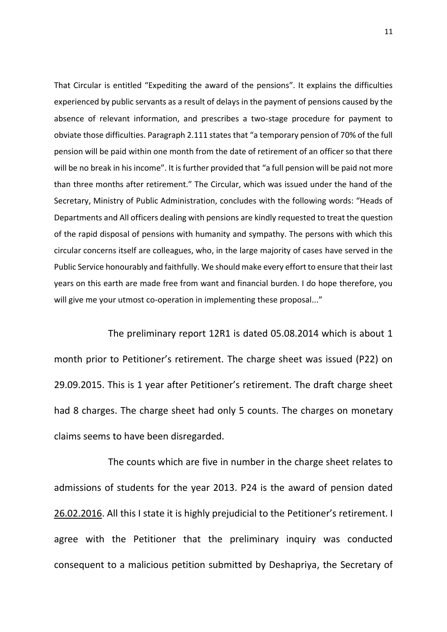That Circular is entitled "Expediting the award of the pensions". It explains the difficulties experienced by public servants as a result of delays in the payment of pensions caused by the absence of relevant information, and prescribes a two-stage procedure for payment to obviate those difficulties. Paragraph 2.111 states that "a temporary pension of 70% of the full pension will be paid within one month from the date of retirement of an officer so that there will be no break in his income". It is further provided that "a full pension will be paid not more than three months after retirement." The Circular, which was issued under the hand of the Secretary, Ministry of Public Administration, concludes with the following words: "Heads of Departments and All officers dealing with pensions are kindly requested to treat the question of the rapid disposal of pensions with humanity and sympathy. The persons with which this circular concerns itself are colleagues, who, in the large majority of cases have served in the Public Service honourably and faithfully. We should make every effort to ensure that their last years on this earth are made free from want and financial burden. I do hope therefore, you will give me your utmost co-operation in implementing these proposal..."

The preliminary report 12R1 is dated 05.08.2014 which is about 1 month prior to Petitioner's retirement. The charge sheet was issued (P22) on 29.09.2015. This is 1 year after Petitioner's retirement. The draft charge sheet had 8 charges. The charge sheet had only 5 counts. The charges on monetary claims seems to have been disregarded.

The counts which are five in number in the charge sheet relates to admissions of students for the year 2013. P24 is the award of pension dated 26.02.2016. All this I state it is highly prejudicial to the Petitioner's retirement. I agree with the Petitioner that the preliminary inquiry was conducted consequent to a malicious petition submitted by Deshapriya, the Secretary of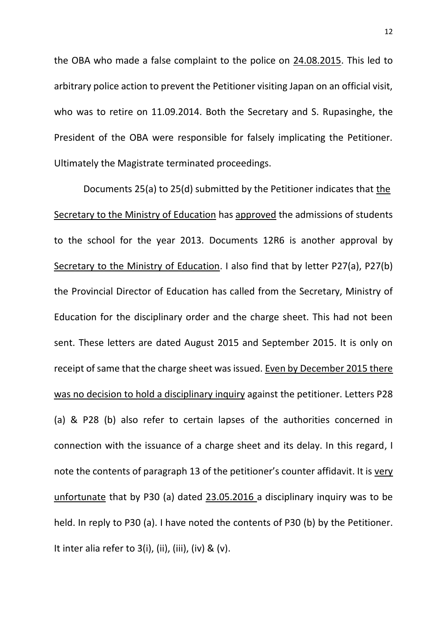the OBA who made a false complaint to the police on 24.08.2015. This led to arbitrary police action to prevent the Petitioner visiting Japan on an official visit, who was to retire on 11.09.2014. Both the Secretary and S. Rupasinghe, the President of the OBA were responsible for falsely implicating the Petitioner. Ultimately the Magistrate terminated proceedings.

Documents 25(a) to 25(d) submitted by the Petitioner indicates that the Secretary to the Ministry of Education has approved the admissions of students to the school for the year 2013. Documents 12R6 is another approval by Secretary to the Ministry of Education. I also find that by letter P27(a), P27(b) the Provincial Director of Education has called from the Secretary, Ministry of Education for the disciplinary order and the charge sheet. This had not been sent. These letters are dated August 2015 and September 2015. It is only on receipt of same that the charge sheet was issued. Even by December 2015 there was no decision to hold a disciplinary inquiry against the petitioner. Letters P28 (a) & P28 (b) also refer to certain lapses of the authorities concerned in connection with the issuance of a charge sheet and its delay. In this regard, I note the contents of paragraph 13 of the petitioner's counter affidavit. It is very unfortunate that by P30 (a) dated 23.05.2016 a disciplinary inquiry was to be held. In reply to P30 (a). I have noted the contents of P30 (b) by the Petitioner. It inter alia refer to  $3(i)$ , (ii), (iii), (iv) & (v).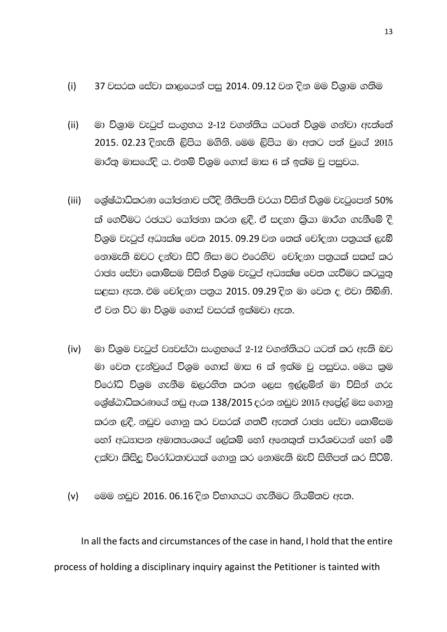- (i) 37 වසරක සේවා කාලයෙන් පස 2014. 09.12 වන දින මම විශාම ගතිම
- (ii) මා විශාම වැටුප් සංගුහය 2-12 වගන්තිය යටතේ විශුම ගන්වා ඇත්තේ 2015. 02.23 දිනැති ලිපිය මගිනි. මෙම ලිපිය මා අතට පත් වුයේ 2015 මාර්තු මාසයේදි ය. එනම් විශුම ගොස් මාස 6 ක් ඉක්ම වු පසුවය.
- (iii) ලෙසුෂ්ඨාධිකරණ යෝඡනාව පරිදි නීතිපති වරයා විසින් විශුම වැටුපෙන් 50% ක් ගෙවීමට රජයට යෝජනා කරන ලදී. ඒ සදහා කියා මාර්ග ගැනීමේ දී විශුම වැටුප් අධයක්ෂ වෙත 2015. 09.29 වන තෙක් චෝදනා පතුයක් ලැබී නොමැති බවට දන්වා සිටි නිසා මට එරෙනිව චෝදනා පතුයක් සකස් කර රාජය සේවා කොමිසම විසින් විශුම වැටුප් අධයක්ෂ වෙත යැවීමට කටයුතු සළසා ඇත. එම චෝදනා පතුය 2015. 09.29 දින මා වෙත ද එවා තිබිණි. ඒ වන විට මා විශුම ගොස් වසරක් ඉක්මවා ඇත.
- $(iv)$  ©ා විශම වැටප් ව $x$ වස්ථා සංගහයේ 2-12 වගන්තියට යටත් කර ඇති බව මා වෙත දැන්වුයේ විශුම ගොස් මාස 6 ක් ඉක්ම වු පසුවය. මෙය කුම විරෝධි විශම ගැනීම බලරනිත කරන ලෙස ඉල්ලම්න් මා විසින් ගරු ලශ්ෂ්ඨාධිකරණයේ නඩු අංක 138/2015 දරන නඩුව  $2015$  අපේල් මස ගොනු කරන ලදී. නඩුව ගොනු කර වසරක් ගතවී ඇතත් රාජ¤ සේවා කොමිසම හෝ අධසාපන අමාතසංශයේ ලේකම් හෝ අනෙකුත් පාර්ශවයන් හෝ මේ cක්වා කිසිදු විරෝධතාවයක් ගොනු කර නොමැති බැව් සිහිපත් කර සිටිමි.
- (v)  $\circ$  මෙම නඩුව 2016. 06.16 දින විභාගයට ගැනීමට නියමිතව ඇත.

In all the facts and circumstances of the case in hand, I hold that the entire process of holding a disciplinary inquiry against the Petitioner is tainted with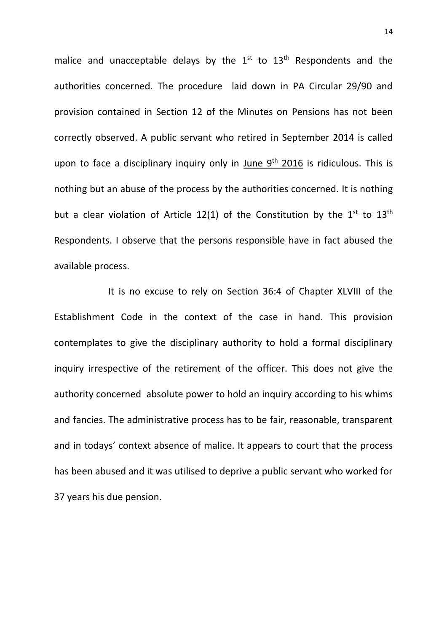malice and unacceptable delays by the  $1<sup>st</sup>$  to  $13<sup>th</sup>$  Respondents and the authorities concerned. The procedure laid down in PA Circular 29/90 and provision contained in Section 12 of the Minutes on Pensions has not been correctly observed. A public servant who retired in September 2014 is called upon to face a disciplinary inquiry only in June  $9<sup>th</sup>$  2016 is ridiculous. This is nothing but an abuse of the process by the authorities concerned. It is nothing but a clear violation of Article 12(1) of the Constitution by the  $1^{st}$  to  $13^{th}$ Respondents. I observe that the persons responsible have in fact abused the available process.

It is no excuse to rely on Section 36:4 of Chapter XLVIII of the Establishment Code in the context of the case in hand. This provision contemplates to give the disciplinary authority to hold a formal disciplinary inquiry irrespective of the retirement of the officer. This does not give the authority concerned absolute power to hold an inquiry according to his whims and fancies. The administrative process has to be fair, reasonable, transparent and in todays' context absence of malice. It appears to court that the process has been abused and it was utilised to deprive a public servant who worked for 37 years his due pension.